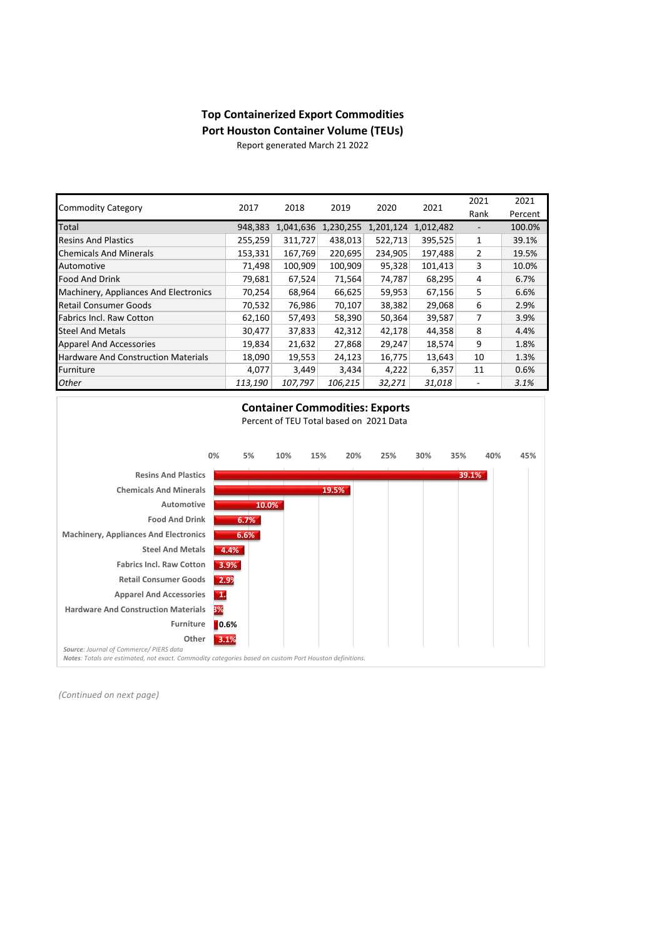## **Top Containerized Export Commodities Port Houston Container Volume (TEUs)**

Report generated March 21 2022

| <b>Commodity Category</b>                  | 2017    | 2018      | 2019      | 2020      | 2021      | 2021                     | 2021    |
|--------------------------------------------|---------|-----------|-----------|-----------|-----------|--------------------------|---------|
|                                            |         |           |           |           |           | Rank                     | Percent |
| Total                                      | 948,383 | 1,041,636 | 1,230,255 | 1,201,124 | 1,012,482 | $\overline{\phantom{a}}$ | 100.0%  |
| <b>Resins And Plastics</b>                 | 255,259 | 311,727   | 438,013   | 522,713   | 395,525   | 1                        | 39.1%   |
| <b>Chemicals And Minerals</b>              | 153,331 | 167,769   | 220,695   | 234,905   | 197,488   | $\overline{2}$           | 19.5%   |
| Automotive                                 | 71,498  | 100,909   | 100,909   | 95,328    | 101,413   | 3                        | 10.0%   |
| <b>Food And Drink</b>                      | 79,681  | 67,524    | 71,564    | 74,787    | 68,295    | 4                        | 6.7%    |
| Machinery, Appliances And Electronics      | 70,254  | 68,964    | 66,625    | 59,953    | 67,156    | 5                        | 6.6%    |
| <b>Retail Consumer Goods</b>               | 70,532  | 76,986    | 70,107    | 38,382    | 29,068    | 6                        | 2.9%    |
| <b>Fabrics Incl. Raw Cotton</b>            | 62,160  | 57,493    | 58,390    | 50,364    | 39,587    | 7                        | 3.9%    |
| <b>Steel And Metals</b>                    | 30,477  | 37,833    | 42,312    | 42,178    | 44,358    | 8                        | 4.4%    |
| <b>Apparel And Accessories</b>             | 19,834  | 21,632    | 27,868    | 29,247    | 18,574    | 9                        | 1.8%    |
| <b>Hardware And Construction Materials</b> | 18,090  | 19,553    | 24,123    | 16,775    | 13,643    | 10                       | 1.3%    |
| Furniture                                  | 4,077   | 3,449     | 3,434     | 4,222     | 6,357     | 11                       | 0.6%    |
| <b>Other</b>                               | 113,190 | 107,797   | 106,215   | 32,271    | 31,018    |                          | 3.1%    |



*(Continued on next page)*